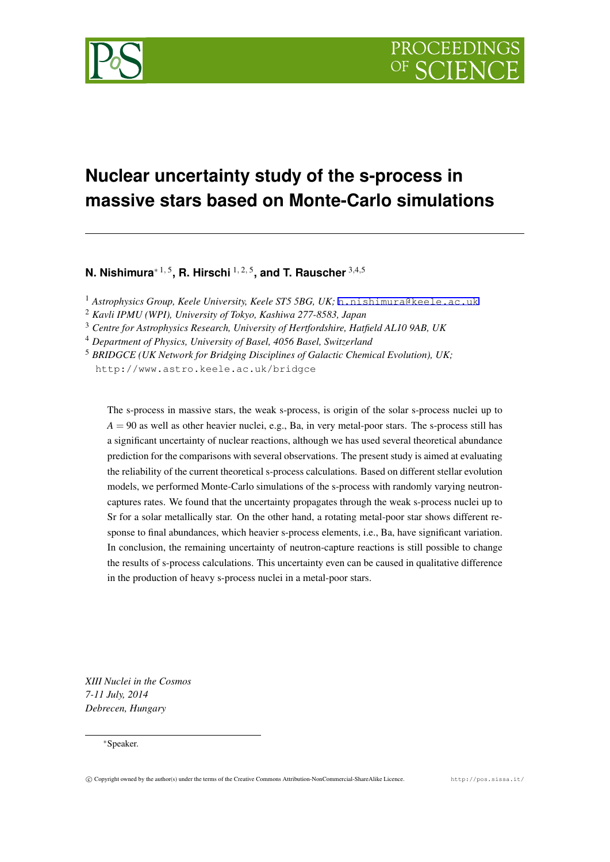

# **Nuclear uncertainty study of the s-process in massive stars based on Monte-Carlo simulations**

**N. Nishimura***<sup>∗</sup>* <sup>1</sup>*,* <sup>5</sup> **, R. Hirschi** <sup>1</sup>*,* <sup>2</sup>*,* <sup>5</sup> **, and T. Rauscher** <sup>3</sup>*,*4*,*<sup>5</sup>

<sup>1</sup> Astrophysics Group, Keele University, Keele ST5 5BG, UK; n.nishimura@keele.ac.uk

<sup>2</sup> *Kavli IPMU (WPI), University of Tokyo, Kashiwa 277-8583, Japan*

<sup>3</sup> *Centre for Astrophysics Research, University of Hertfordshire, Hatfield AL10 9AB, UK*

<sup>4</sup> *Department of Physics, University of Basel, 4056 Basel, Switzerland*

<sup>5</sup> *BRIDGCE (UK Network for Bridging Disciplines of Galact[ic Chemical Evolution\), UK;](mailto:n.nishimura@keele.ac.uk)* http://www.astro.keele.ac.uk/bridgce

The s-process in massive stars, the weak s-process, is origin of the solar s-process nuclei up to  $A = 90$  as well as other heavier nuclei, e.g., Ba, in very metal-poor stars. The s-process still has a significant uncertainty of nuclear reactions, although we has used several theoretical abundance prediction for the comparisons with several observations. The present study is aimed at evaluating the reliability of the current theoretical s-process calculations. Based on different stellar evolution models, we performed Monte-Carlo simulations of the s-process with randomly varying neutroncaptures rates. We found that the uncertainty propagates through the weak s-process nuclei up to Sr for a solar metallically star. On the other hand, a rotating metal-poor star shows different response to final abundances, which heavier s-process elements, i.e., Ba, have significant variation. In conclusion, the remaining uncertainty of neutron-capture reactions is still possible to change the results of s-process calculations. This uncertainty even can be caused in qualitative difference in the production of heavy s-process nuclei in a metal-poor stars.

*XIII Nuclei in the Cosmos 7-11 July, 2014 Debrecen, Hungary*

*∗*Speaker.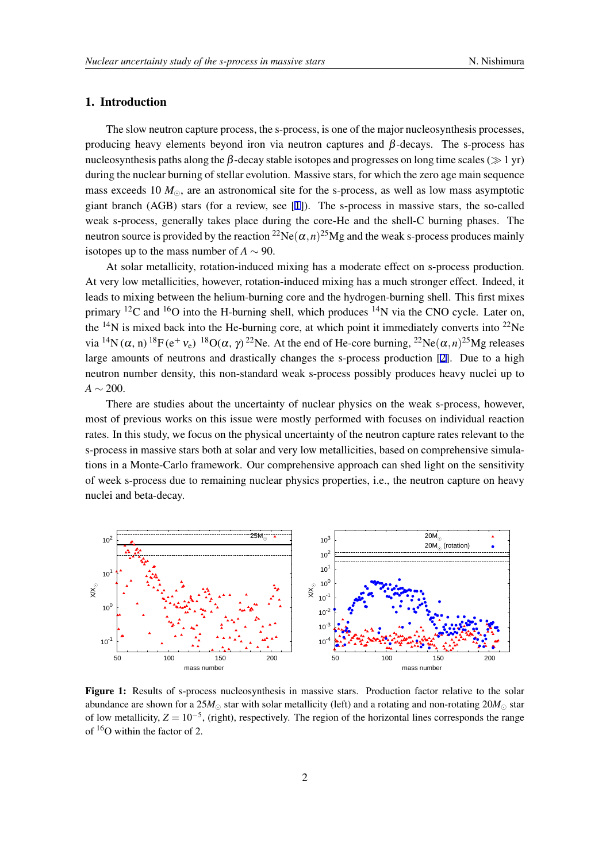## <span id="page-1-0"></span>1. Introduction

The slow neutron capture process, the s-process, is one of the major nucleosynthesis processes, producing heavy elements beyond iron via neutron captures and  $\beta$ -decays. The s-process has nucleosynthesis paths along the β-decay stable isotopes and progresses on long time scales (*≫* 1 yr) during the nuclear burning of stellar evolution. Massive stars, for which the zero age main sequence mass exceeds 10 *M⊙*, are an astronomical site for the s-process, as well as low mass asymptotic giant branch (AGB) stars (for a review, see [1]). The s-process in massive stars, the so-called weak s-process, generally takes place during the core-He and the shell-C burning phases. The neutron source is provided by the reaction  ${}^{22}Ne(\alpha, n)^{25}Mg$  and the weak s-process produces mainly isotopes up to the mass number of  $A \sim 90$ .

At solar metallicity, rotation-induced mixing has a moderate effect on s-process production. At very low metallicities, however, rotation-induced mixing has a much stronger effect. Indeed, it leads to mixing between the helium-burning core and the hydrogen-burning shell. This first mixes primary  ${}^{12}C$  and  ${}^{16}O$  into the H-burning shell, which produces  ${}^{14}N$  via the CNO cycle. Later on, the <sup>14</sup>N is mixed back into the He-burning core, at which point it immediately converts into <sup>22</sup>Ne via <sup>14</sup>N( $\alpha$ , n) <sup>18</sup>F( $e^+$   $v_e$ ) <sup>18</sup>O( $\alpha$ ,  $\gamma$ )<sup>22</sup>Ne. At the end of He-core burning, <sup>22</sup>Ne( $\alpha$ ,*n*)<sup>25</sup>Mg releases large amounts of neutrons and drastically changes the s-process production [2]. Due to a high neutron number density, this non-standard weak s-process possibly produces heavy nuclei up to *A ∼* 200.

There are studies about the uncertainty of nuclear physics on the weak s[-p](#page-4-0)rocess, however, most of previous works on this issue were mostly performed with focuses on individual reaction rates. In this study, we focus on the physical uncertainty of the neutron capture rates relevant to the s-process in massive stars both at solar and very low metallicities, based on comprehensive simulations in a Monte-Carlo framework. Our comprehensive approach can shed light on the sensitivity of week s-process due to remaining nuclear physics properties, i.e., the neutron capture on heavy nuclei and beta-decay.



Figure 1: Results of s-process nucleosynthesis in massive stars. Production factor relative to the solar abundance are shown for a 25 $M_{\odot}$  star with solar metallicity (left) and a rotating and non-rotating 20 $M_{\odot}$  star of low metallicity, *Z* = 10*−*<sup>5</sup> , (right), respectively. The region of the horizontal lines corresponds the range of <sup>16</sup>O within the factor of 2.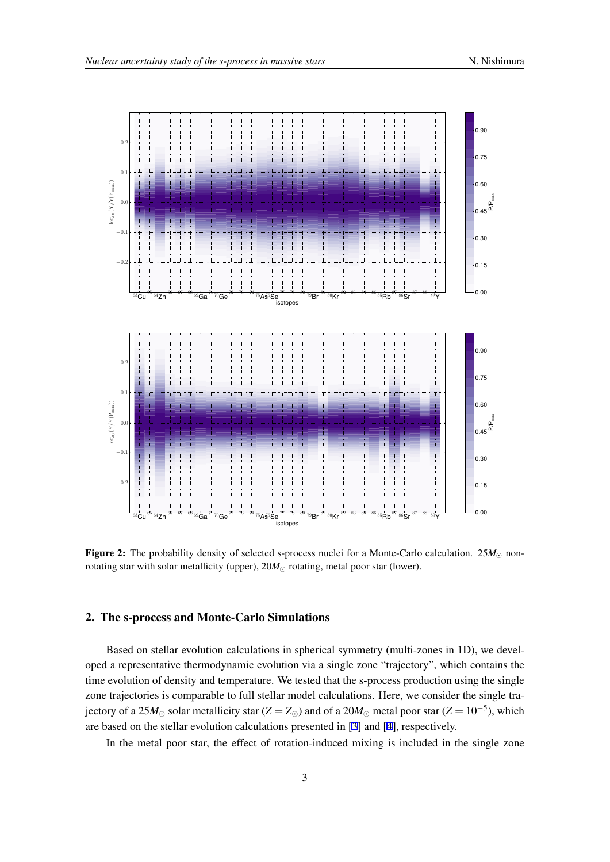<span id="page-2-0"></span>

Figure 2: The probability density of selected s-process nuclei for a Monte-Carlo calculation. 25*M<sup>⊙</sup>* nonrotating star with solar metallicity (upper), 20*M<sup>⊙</sup>* rotating, metal poor star (lower).

### 2. The s-process and Monte-Carlo Simulations

Based on stellar evolution calculations in spherical symmetry (multi-zones in 1D), we developed a representative thermodynamic evolution via a single zone "trajectory", which contains the time evolution of density and temperature. We tested that the s-process production using the single zone trajectories is comparable to full stellar model calculations. Here, we consider the single trajectory of a 25 $M_{\odot}$  solar metallicity star (*Z* = *Z*<sub>⊙</sub>) and of a 20 $M_{\odot}$  metal poor star (*Z* = 10<sup>-5</sup>), which are based on the stellar evolution calculations presented in [3] and [4], respectively.

In the metal poor star, the effect of rotation-induced mixing is included in the single zone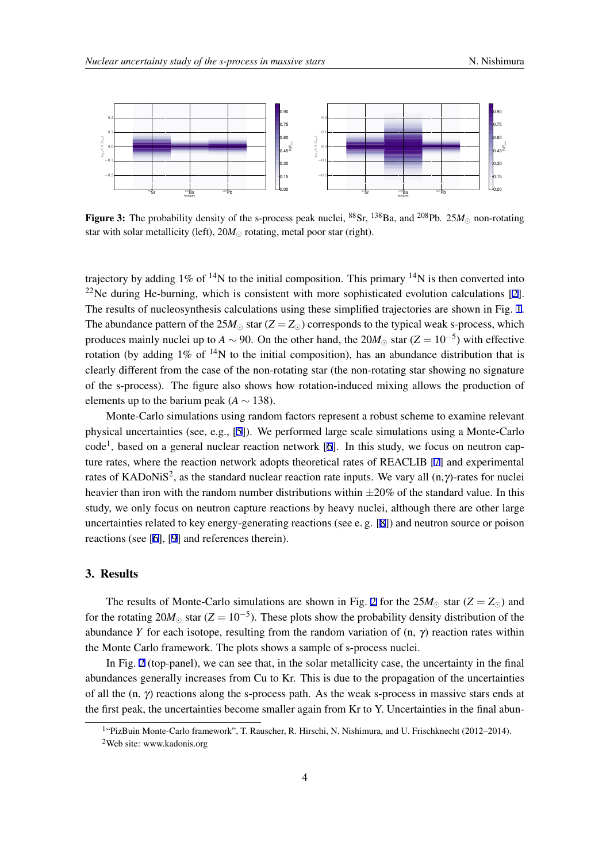<span id="page-3-0"></span>

Figure 3: The probability density of the s-process peak nuclei,  ${}^{88}Sr$ ,  ${}^{138}Ba$ , and  ${}^{208}Pb$ .  $25M<sub>o</sub>$  non-rotating star with solar metallicity (left), 20*M<sup>⊙</sup>* rotating, metal poor star (right).

trajectory by adding  $1\%$  of <sup>14</sup>N to the initial composition. This primary <sup>14</sup>N is then converted into  $22$ Ne during He-burning, which is consistent with more sophisticated evolution calculations [2]. The results of nucleosynthesis calculations using these simplified trajectories are shown in Fig. 1. The abundance pattern of the  $25M_{\odot}$  star ( $Z = Z_{\odot}$ ) corresponds to the typical weak s-process, which produces mainly nuclei up to *A*  $\sim$  90. On the other hand, the 20*M*<sub> $\odot$ </sub> star (*Z* = 10<sup>-5</sup>) with effect[iv](#page-4-0)e rotation (by adding  $1\%$  of  $^{14}N$  to the initial composition), has an abundance distribution that [is](#page-1-0) clearly different from the case of the non-rotating star (the non-rotating star showing no signature of the s-process). The figure also shows how rotation-induced mixing allows the production of elements up to the barium peak  $(A \sim 138)$ .

Monte-Carlo simulations using random factors represent a robust scheme to examine relevant physical uncertainties (see, e.g., [5]). We performed large scale simulations using a Monte-Carlo code<sup>1</sup>, based on a general nuclear reaction network [6]. In this study, we focus on neutron capture rates, where the reaction network adopts theoretical rates of REACLIB [7] and experimental rates of KADoNiS<sup>2</sup>, as the stand[ard](#page-4-0) nuclear reaction rate inputs. We vary all  $(n, \gamma)$ -rates for nuclei heavier than iron with the random number distributio[ns](#page-5-0) within *±*20% of the standard value. In this study, we only focus on neutron capture reactions by heavy nuclei, although [th](#page-5-0)ere are other large uncertainties related to key energy-generating reactions (see e. g. [8]) and neutron source or poison reactions (see [6], [9] and references therein).

#### 3. Results

The results of Monte-Carlo simulations are shown in Fig. 2 for the  $25M_{\odot}$  star ( $Z = Z_{\odot}$ ) and for the rotating <sup>20</sup>*M<sup>⊙</sup>* star (*<sup>Z</sup>* <sup>=</sup> <sup>10</sup>*−*<sup>5</sup> ). These plots show the probability density distribution of the abundance *Y* for each isotope, resulting from the random variation of  $(n, \gamma)$  reaction rates within the Monte Carlo framework. The plots shows a sample of s-pro[ce](#page-2-0)ss nuclei.

In Fig. 2 (top-panel), we can see that, in the solar metallicity case, the uncertainty in the final abundances generally increases from Cu to Kr. This is due to the propagation of the uncertainties of all the  $(n, \gamma)$  reactions along the s-process path. As the weak s-process in massive stars ends at the first pea[k,](#page-2-0) the uncertainties become smaller again from Kr to Y. Uncertainties in the final abun-

<sup>&</sup>lt;sup>1</sup>"PizBuin Monte-Carlo framework", T. Rauscher, R. Hirschi, N. Nishimura, and U. Frischknecht (2012–2014). <sup>2</sup>Web site: www.kadonis.org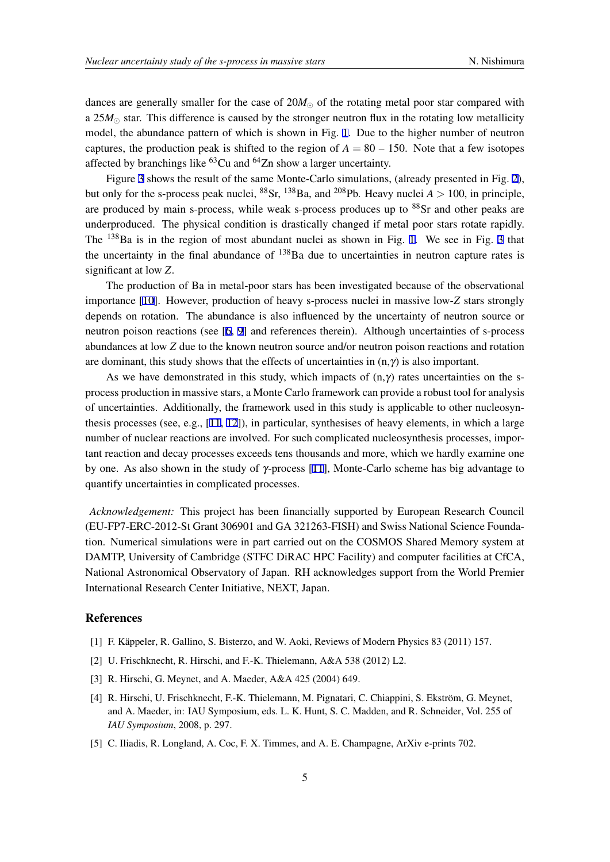<span id="page-4-0"></span>dances are generally smaller for the case of 20*M<sup>⊙</sup>* of the rotating metal poor star compared with a 25*M<sup>⊙</sup>* star. This difference is caused by the stronger neutron flux in the rotating low metallicity model, the abundance pattern of which is shown in Fig. 1. Due to the higher number of neutron captures, the production peak is shifted to the region of  $A = 80 - 150$ . Note that a few isotopes affected by branchings like  ${}^{63}$ Cu and  ${}^{64}$ Zn show a larger uncertainty.

Figure 3 shows the result of the same Monte-Carlo s[im](#page-1-0)ulations, (already presented in Fig. 2), but only for the s-process peak nuclei,  ${}^{88}Sr$ ,  ${}^{138}Ba$ , and  ${}^{208}Pb$ . Heavy nuclei  $A > 100$ , in principle, are produced by main s-process, while weak s-process produces up to <sup>88</sup>Sr and other peaks are underprodu[ce](#page-3-0)d. The physical condition is drastically changed if metal poor stars rotate rapi[dly](#page-2-0). The  $^{138}$ Ba is in the region of most abundant nuclei as shown in Fig. 1. We see in Fig. 3 that the uncertainty in the final abundance of  $138$ Ba due to uncertainties in neutron capture rates is significant at low *Z*.

The production of Ba in metal-poor stars has been investigated be[ca](#page-1-0)use of the observ[ati](#page-3-0)onal importance [10]. However, production of heavy s-process nuclei in massive low-*Z* stars strongly depends on rotation. The abundance is also influenced by the uncertainty of neutron source or neutron poison reactions (see [6, 9] and references therein). Although uncertainties of s-process abundances [at l](#page-5-0)ow *Z* due to the known neutron source and/or neutron poison reactions and rotation are dominant, this study shows that the effects of uncertainties in  $(n, \gamma)$  is also important.

As we have demonstrated [in th](#page-5-0)is study, which impacts of  $(n, \gamma)$  rates uncertainties on the sprocess production in massive stars, a Monte Carlo framework can provide a robust tool for analysis of uncertainties. Additionally, the framework used in this study is applicable to other nucleosynthesis processes (see, e.g., [11, 12]), in particular, synthesises of heavy elements, in which a large number of nuclear reactions are involved. For such complicated nucleosynthesis processes, important reaction and decay processes exceeds tens thousands and more, which we hardly examine one by one. As also shown in t[he](#page-5-0) [stud](#page-5-0)y of  $\gamma$ -process [11], Monte-Carlo scheme has big advantage to quantify uncertainties in complicated processes.

*Acknowledgement:* This project has been financ[iall](#page-5-0)y supported by European Research Council (EU-FP7-ERC-2012-St Grant 306901 and GA 321263-FISH) and Swiss National Science Foundation. Numerical simulations were in part carried out on the COSMOS Shared Memory system at DAMTP, University of Cambridge (STFC DiRAC HPC Facility) and computer facilities at CfCA, National Astronomical Observatory of Japan. RH acknowledges support from the World Premier International Research Center Initiative, NEXT, Japan.

#### References

- [1] F. Käppeler, R. Gallino, S. Bisterzo, and W. Aoki, Reviews of Modern Physics 83 (2011) 157.
- [2] U. Frischknecht, R. Hirschi, and F.-K. Thielemann, A&A 538 (2012) L2.
- [3] R. Hirschi, G. Meynet, and A. Maeder, A&A 425 (2004) 649.
- [4] R. Hirschi, U. Frischknecht, F.-K. Thielemann, M. Pignatari, C. Chiappini, S. Ekström, G. Meynet, and A. Maeder, in: IAU Symposium, eds. L. K. Hunt, S. C. Madden, and R. Schneider, Vol. 255 of *IAU Symposium*, 2008, p. 297.
- [5] C. Iliadis, R. Longland, A. Coc, F. X. Timmes, and A. E. Champagne, ArXiv e-prints 702.